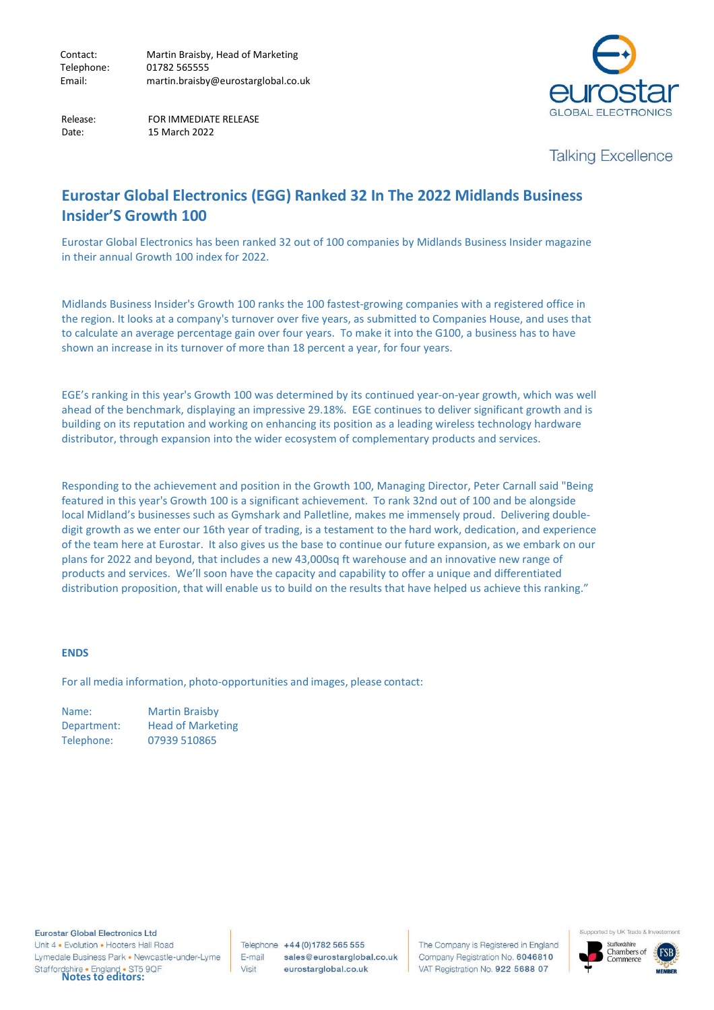

 Release: FOR IMMEDIATE RELEASE Date: 15 March 2022

**Talking Excellence** 

# **Eurostar Global Electronics (EGG) Ranked 32 In The 2022 Midlands Business Insider'S Growth 100**

Eurostar Global Electronics has been ranked 32 out of 100 companies by Midlands Business Insider magazine in their annual Growth 100 index for 2022.

Midlands Business Insider's Growth 100 ranks the 100 fastest-growing companies with a registered office in the region. It looks at a company's turnover over five years, as submitted to Companies House, and uses that to calculate an average percentage gain over four years. To make it into the G100, a business has to have shown an increase in its turnover of more than 18 percent a year, for four years.

EGE's ranking in this year's Growth 100 was determined by its continued year-on-year growth, which was well ahead of the benchmark, displaying an impressive 29.18%. EGE continues to deliver significant growth and is building on its reputation and working on enhancing its position as a leading wireless technology hardware distributor, through expansion into the wider ecosystem of complementary products and services.

Responding to the achievement and position in the Growth 100, Managing Director, Peter Carnall said "Being featured in this year's Growth 100 is a significant achievement. To rank 32nd out of 100 and be alongside local Midland's businesses such as Gymshark and Palletline, makes me immensely proud. Delivering doubledigit growth as we enter our 16th year of trading, is a testament to the hard work, dedication, and experience of the team here at Eurostar. It also gives us the base to continue our future expansion, as we embark on our plans for 2022 and beyond, that includes a new 43,000sq ft warehouse and an innovative new range of products and services. We'll soon have the capacity and capability to offer a unique and differentiated distribution proposition, that will enable us to build on the results that have helped us achieve this ranking."

#### **ENDS**

For all media information, photo-opportunities and images, please contact:

| Name:       | <b>Martin Braisby</b>    |
|-------------|--------------------------|
| Department: | <b>Head of Marketing</b> |
| Telephone:  | 07939 510865             |

**Eurostar Global Electronics Ltd** Unit 4 . Evolution . Hooters Hall Road Lymedale Business Park . Newcastle-under-Lyme Staffordshire • England • ST5 9QF<br>**Notes to editors:** 

Telephone +44 (0) 1782 565 555 E-mail sales@eurostarglobal.co.uk Visit eurostarglobal.co.uk

The Company is Registered in England Company Registration No. 6046810 VAT Registration No. 922 5688 07



Supported by UK Trade & I